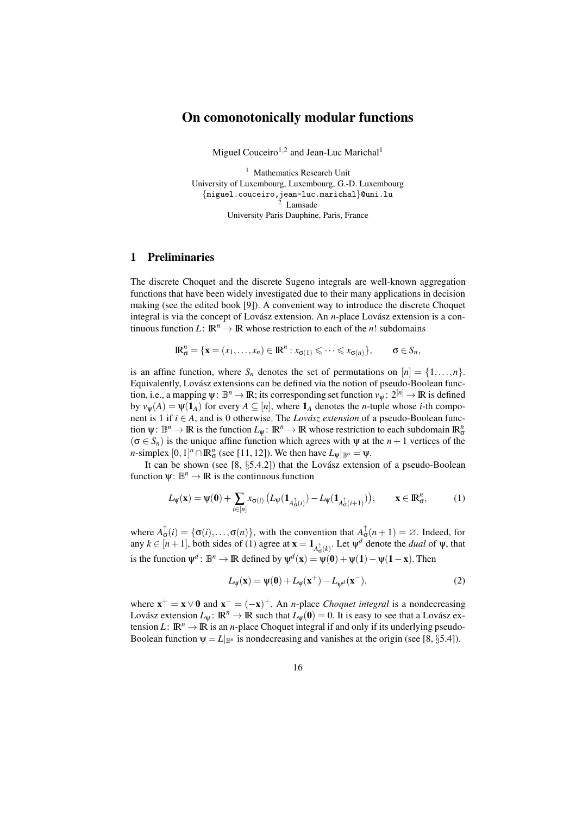# On comonotonically modular functions

Miguel Couceiro<sup>1,2</sup> and Jean-Luc Marichal<sup>1</sup>

<sup>1</sup> Mathematics Research Unit University of Luxembourg, Luxembourg, G.-D. Luxembourg {miguel.couceiro,jean-luc.marichal}@uni.lu <sup>2</sup> Lamsade University Paris Dauphine, Paris, France

### 1 Preliminaries

The discrete Choquet and the discrete Sugeno integrals are well-known aggregation functions that have been widely investigated due to their many applications in decision making (see the edited book [9]). A convenient way to introduce the discrete Choquet integral is via the concept of Lovász extension. An *n*-place Lovász extension is a continuous function *L*:  $\mathbb{R}^n \to \mathbb{R}$  whose restriction to each of the *n*! subdomains

$$
\mathbb{R}^n_{\sigma} = \{ \mathbf{x} = (x_1, \dots, x_n) \in \mathbb{R}^n : x_{\sigma(1)} \leqslant \dots \leqslant x_{\sigma(n)} \}, \qquad \sigma \in S_n,
$$

is an affine function, where  $S_n$  denotes the set of permutations on  $[n] = \{1, \ldots, n\}.$ Equivalently, Lovász extensions can be defined via the notion of pseudo-Boolean function, i.e., a mapping  $\psi: \mathbb{B}^n \to \mathbb{R}$ ; its corresponding set function  $v_{\psi}: 2^{[n]} \to \mathbb{R}$  is defined by  $v_w(A) = \psi(1_A)$  for every  $A \subseteq [n]$ , where  $1_A$  denotes the *n*-tuple whose *i*-th component is 1 if  $i \in A$ , and is 0 otherwise. The *Lovász extension* of a pseudo-Boolean function  $\psi: \mathbb{B}^n \to \mathbb{R}$  is the function  $L_{\psi}: \mathbb{R}^n \to \mathbb{R}$  whose restriction to each subdomain  $\mathbb{R}^n_{\sigma}$  $(\sigma \in S_n)$  is the unique affine function which agrees with  $\psi$  at the  $n+1$  vertices of the *n*-simplex  $[0,1]^n \cap \mathbb{R}^n_{\sigma}$  (see [11, 12]). We then have  $L_{\psi}|_{\mathbb{B}^n} = \psi$ .

It can be shown (see  $[8, §5.4.2]$ ) that the Lovász extension of a pseudo-Boolean function  $\psi: \mathbb{B}^n \to \mathbb{R}$  is the continuous function

$$
L_{\psi}(\mathbf{x}) = \psi(\mathbf{0}) + \sum_{i \in [n]} x_{\sigma(i)} \left( L_{\psi}(\mathbf{1}_{A_{\sigma}^{\uparrow}(i)}) - L_{\psi}(\mathbf{1}_{A_{\sigma}^{\uparrow}(i+1)}) \right), \qquad \mathbf{x} \in \mathbb{R}_{\sigma}^{n}, \tag{1}
$$

where  $A_{\sigma}^{\uparrow}(i) = {\{\sigma(i), \ldots, \sigma(n)\}}$ , with the convention that  $A_{\sigma}^{\uparrow}(n+1) = \emptyset$ . Indeed, for any  $k \in [n+1]$ , both sides of (1) agree at  $\mathbf{x} = \mathbf{1}_{A_{\mathbf{G}}^{\uparrow}(k)}$ . Let  $\psi^d$  denote the *dual* of  $\psi$ , that is the function  $\psi^d$ :  $\mathbb{B}^n \to \mathbb{R}$  defined by  $\psi^d(\mathbf{x}) = \psi(\mathbf{0}) + \psi(\mathbf{1}) - \psi(\mathbf{1} - \mathbf{x})$ . Then

$$
L_{\psi}(\mathbf{x}) = \psi(\mathbf{0}) + L_{\psi}(\mathbf{x}^{+}) - L_{\psi^{d}}(\mathbf{x}^{-}),
$$
\n(2)

where  $\mathbf{x}^+ = \mathbf{x} \vee \mathbf{0}$  and  $\mathbf{x}^- = (-\mathbf{x})^+$ . An *n*-place *Choquet integral* is a nondecreasing Lovász extension  $L_\Psi$ :  $\mathbb{R}^n \to \mathbb{R}$  such that  $L_\Psi(\mathbf{0}) = 0$ . It is easy to see that a Lovász extension *L*:  $\mathbb{R}^n \to \mathbb{R}$  is an *n*-place Choquet integral if and only if its underlying pseudo-Boolean function  $\psi = L|_{\mathbb{B}^n}$  is nondecreasing and vanishes at the origin (see [8, §5.4]).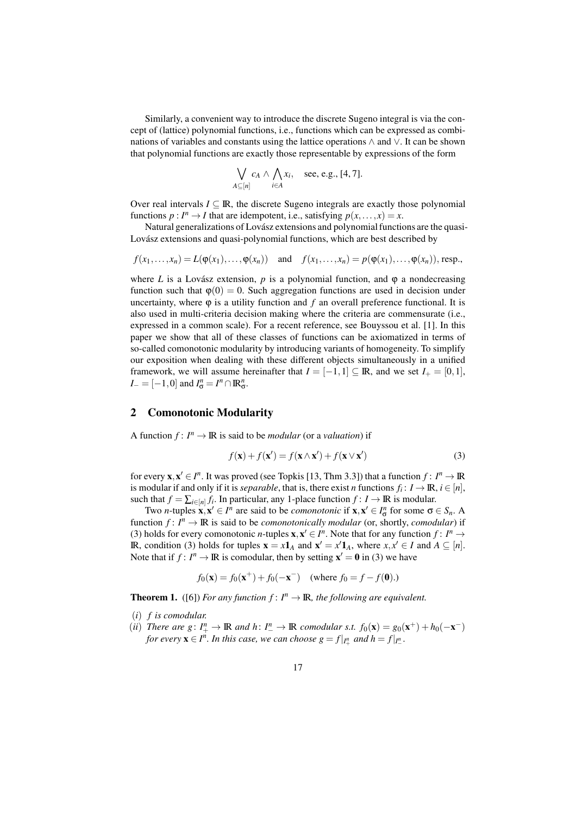Similarly, a convenient way to introduce the discrete Sugeno integral is via the concept of (lattice) polynomial functions, i.e., functions which can be expressed as combinations of variables and constants using the lattice operations ∧ and ∨. It can be shown that polynomial functions are exactly those representable by expressions of the form

$$
\bigvee_{A \subseteq [n]} c_A \wedge \bigwedge_{i \in A} x_i, \quad \text{see, e.g., [4, 7].}
$$

Over real intervals  $I \subseteq \mathbb{R}$ , the discrete Sugeno integrals are exactly those polynomial functions  $p: I^n \to I$  that are idempotent, i.e., satisfying  $p(x, \ldots, x) = x$ .

Natural generalizations of Lovász extensions and polynomial functions are the quasi-Lovász extensions and quasi-polynomial functions, which are best described by

$$
f(x_1,\ldots,x_n)=L(\varphi(x_1),\ldots,\varphi(x_n)) \quad \text{and} \quad f(x_1,\ldots,x_n)=p(\varphi(x_1),\ldots,\varphi(x_n)), \text{resp.,}
$$

where *L* is a Lovász extension,  $p$  is a polynomial function, and  $\varphi$  a nondecreasing function such that  $\varphi(0) = 0$ . Such aggregation functions are used in decision under uncertainty, where  $\varphi$  is a utility function and  $f$  an overall preference functional. It is also used in multi-criteria decision making where the criteria are commensurate (i.e., expressed in a common scale). For a recent reference, see Bouyssou et al. [1]. In this paper we show that all of these classes of functions can be axiomatized in terms of so-called comonotonic modularity by introducing variants of homogeneity. To simplify our exposition when dealing with these different objects simultaneously in a unified framework, we will assume hereinafter that  $I = [-1,1] \subseteq \mathbb{R}$ , and we set  $I_{+} = [0,1]$ ,  $I_{-} = [-1,0]$  and  $I_{\sigma}^{n} = I^{n} \cap \mathbb{R}_{\sigma}^{n}$ .

### 2 Comonotonic Modularity

A function  $f: I^n \to \mathbb{R}$  is said to be *modular* (or a *valuation*) if

$$
f(\mathbf{x}) + f(\mathbf{x}') = f(\mathbf{x} \wedge \mathbf{x}') + f(\mathbf{x} \vee \mathbf{x}')
$$
 (3)

for every  $\mathbf{x}, \mathbf{x}' \in I^n$ . It was proved (see Topkis [13, Thm 3.3]) that a function  $f: I^n \to \mathbb{R}$ is modular if and only if it is *separable*, that is, there exist *n* functions  $f_i\colon I\to\mathbb{R},$   $i\in [n],$ such that  $f = \sum_{i \in [n]} f_i$ . In particular, any 1-place function  $f: I \to \mathbb{R}$  is modular.

Two *n*-tuples  $\mathbf{x}, \mathbf{x}' \in I^n$  are said to be *comonotonic* if  $\mathbf{x}, \mathbf{x}' \in I^n_\sigma$  for some  $\sigma \in S_n$ . A function  $f: I^n \to \mathbb{R}$  is said to be *comonotonically modular* (or, shortly, *comodular*) if (3) holds for every comonotonic *n*-tuples  $\mathbf{x}, \mathbf{x}' \in I^n$ . Note that for any function  $f: I^n \to I^n$ **IR**, condition (3) holds for tuples  $\mathbf{x} = x\mathbf{1}_A$  and  $\mathbf{x}' = x'\mathbf{1}_A$ , where  $x, x' \in I$  and  $A \subseteq [n]$ . Note that if  $f: I^n \to \mathbb{R}$  is comodular, then by setting  $\mathbf{x}' = \mathbf{0}$  in (3) we have

$$
f_0(\mathbf{x}) = f_0(\mathbf{x}^+) + f_0(-\mathbf{x}^-)
$$
 (where  $f_0 = f - f(\mathbf{0})$ .)

**Theorem 1.** ([6]) *For any function*  $f: I^n \to \mathbb{R}$ *, the following are equivalent.* 

(*i*) *f is comodular.*

(*ii*) *There are g*:  $I_+^n \to \mathbb{R}$  *and h*:  $I_-^n \to \mathbb{R}$  *comodular s.t.*  $f_0(\mathbf{x}) = g_0(\mathbf{x}^+) + h_0(-\mathbf{x}^-)$ *for every*  $\mathbf{x} \in I^n$ *. In this case, we can choose*  $g = f|_{I^n_+}$  *and*  $h = f|_{I^n_-}$ *.*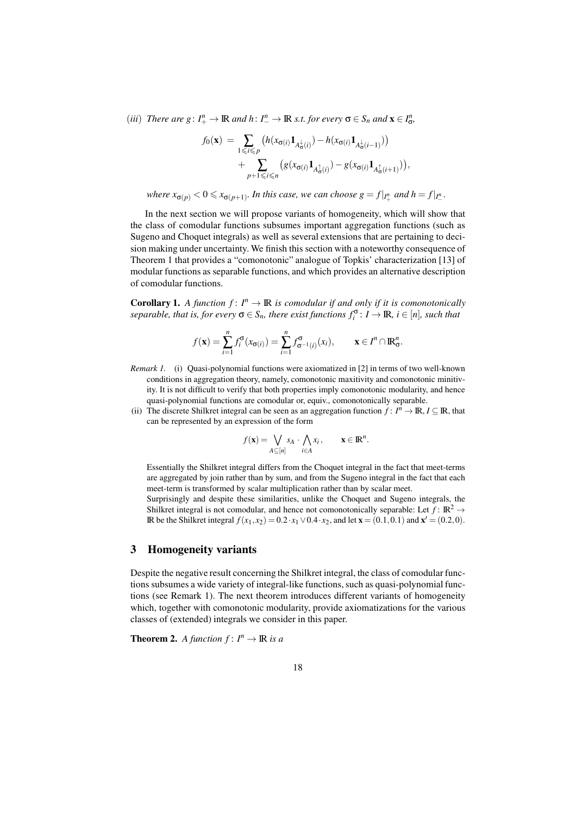(*iii*) *There are g*:  $I_+^n \to \mathbb{R}$  *and*  $h: I_-^n \to \mathbb{R}$  *s.t. for every*  $\sigma \in S_n$  *and*  $\mathbf{x} \in I_\sigma^n$ ,

$$
f_0(\mathbf{x}) = \sum_{1 \leq i \leq p} \left( h(x_{\sigma(i)} \mathbf{1}_{A^{\perp}_{\sigma(i)}}) - h(x_{\sigma(i)} \mathbf{1}_{A^{\perp}_{\sigma(i-1)}}) \right)
$$
  
+ 
$$
\sum_{p+1 \leq i \leq n} \left( g(x_{\sigma(i)} \mathbf{1}_{A^{\uparrow}_{\sigma(i)}}) - g(x_{\sigma(i)} \mathbf{1}_{A^{\uparrow}_{\sigma(i+1)}}) \right),
$$

*where*  $x_{\sigma(p)} < 0 \leq x_{\sigma(p+1)}$ . In this case, we can choose  $g = f|_{I_+^n}$  and  $h = f|_{I_-^n}$ .

In the next section we will propose variants of homogeneity, which will show that the class of comodular functions subsumes important aggregation functions (such as Sugeno and Choquet integrals) as well as several extensions that are pertaining to decision making under uncertainty. We finish this section with a noteworthy consequence of Theorem 1 that provides a "comonotonic" analogue of Topkis' characterization [13] of modular functions as separable functions, and which provides an alternative description of comodular functions.

**Corollary 1.** A function  $f: I^n \to \mathbb{R}$  is comodular if and only if it is comonotonically  $s$ *eparable, that is, for every*  $\sigma \in S_n$ *, there exist functions*  $f_i^{\sigma}$ :  $I \to \mathbb{R}$ *, i*  $\in [n]$ *, such that* 

$$
f(\mathbf{x}) = \sum_{i=1}^n f_i^{\sigma}(x_{\sigma(i)}) = \sum_{i=1}^n f_{\sigma^{-1}(i)}^{\sigma}(x_i), \qquad \mathbf{x} \in I^n \cap \mathbb{R}_\sigma^n.
$$

- *Remark 1.* (i) Quasi-polynomial functions were axiomatized in [2] in terms of two well-known conditions in aggregation theory, namely, comonotonic maxitivity and comonotonic minitivity. It is not difficult to verify that both properties imply comonotonic modularity, and hence quasi-polynomial functions are comodular or, equiv., comonotonically separable.
- (ii) The discrete Shilkret integral can be seen as an aggregation function  $f: I^n \to \mathbb{R}, I \subseteq \mathbb{R}$ , that can be represented by an expression of the form

$$
f(\mathbf{x}) = \bigvee_{A \subseteq [n]} s_A \cdot \bigwedge_{i \in A} x_i, \qquad \mathbf{x} \in \mathbb{R}^n.
$$

Essentially the Shilkret integral differs from the Choquet integral in the fact that meet-terms are aggregated by join rather than by sum, and from the Sugeno integral in the fact that each meet-term is transformed by scalar multiplication rather than by scalar meet.

Surprisingly and despite these similarities, unlike the Choquet and Sugeno integrals, the Shilkret integral is not comodular, and hence not comonotonically separable: Let  $f: \mathbb{R}^2 \to$ **IR** be the Shilkret integral  $f(x_1, x_2) = 0.2 \cdot x_1 ∨ 0.4 \cdot x_2$ , and let **x** = (0.1, 0.1) and **x'** = (0.2, 0).

## 3 Homogeneity variants

Despite the negative result concerning the Shilkret integral, the class of comodular functions subsumes a wide variety of integral-like functions, such as quasi-polynomial functions (see Remark 1). The next theorem introduces different variants of homogeneity which, together with comonotonic modularity, provide axiomatizations for the various classes of (extended) integrals we consider in this paper.

**Theorem 2.** *A function*  $f: I^n \to \mathbb{R}$  *is a*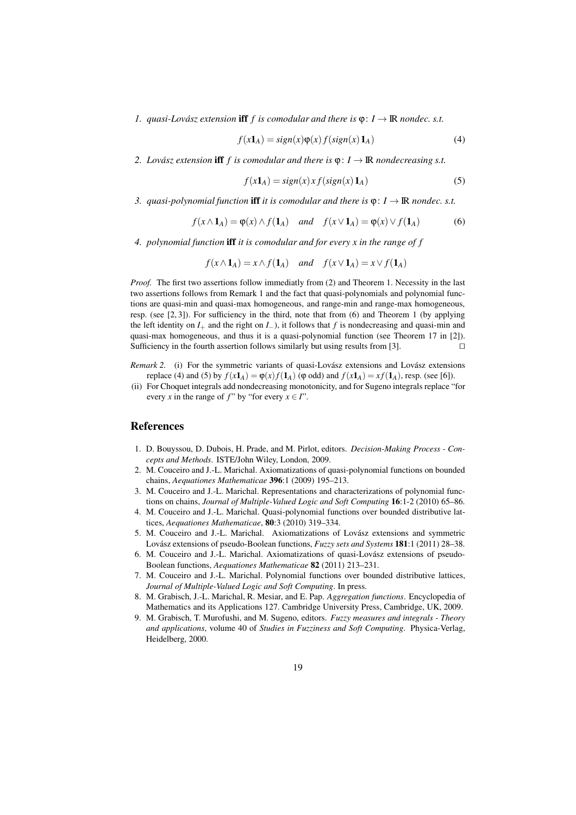*1. quasi-Lovász extension iff*  $f$  *is comodular and there is*  $\varphi$ :  $I \rightarrow \mathbb{R}$  *nondec. s.t.* 

$$
f(x1A) = sign(x)\varphi(x) f(sign(x) 1A)
$$
\n(4)

*2. Lovász extension* **iff** *f* is comodular and there is  $\varphi: I \to \mathbb{R}$  nondecreasing s.t.

$$
f(x1A) = sign(x) x f(sign(x) 1A)
$$
 (5)

*3. quasi-polynomial function* **iff** *it is comodular and there is*  $\varphi: I \to \mathbb{R}$  *nondec. s.t.* 

$$
f(x \wedge \mathbf{1}_A) = \varphi(x) \wedge f(\mathbf{1}_A) \quad \text{and} \quad f(x \vee \mathbf{1}_A) = \varphi(x) \vee f(\mathbf{1}_A) \tag{6}
$$

*4. polynomial function* iff *it is comodular and for every x in the range of f*

$$
f(x \wedge \mathbf{1}_A) = x \wedge f(\mathbf{1}_A)
$$
 and  $f(x \vee \mathbf{1}_A) = x \vee f(\mathbf{1}_A)$ 

*Proof.* The first two assertions follow immediatly from (2) and Theorem 1. Necessity in the last two assertions follows from Remark 1 and the fact that quasi-polynomials and polynomial functions are quasi-min and quasi-max homogeneous, and range-min and range-max homogeneous, resp. (see [2, 3]). For sufficiency in the third, note that from (6) and Theorem 1 (by applying the left identity on  $I_+$  and the right on  $I_-$ ), it follows that  $f$  is nondecreasing and quasi-min and quasi-max homogeneous, and thus it is a quasi-polynomial function (see Theorem 17 in [2]). Sufficiency in the fourth assertion follows similarly but using results from [3]. □

- *Remark 2.* (i) For the symmetric variants of quasi-Lovász extensions and Lovász extensions replace (4) and (5) by  $f(x1_A) = \varphi(x)f(1_A)$  ( $\varphi$  odd) and  $f(x1_A) = xf(1_A)$ , resp. (see [6]).
- (ii) For Choquet integrals add nondecreasing monotonicity, and for Sugeno integrals replace "for every *x* in the range of *f*" by "for every  $x \in I$ ".

#### References

- 1. D. Bouyssou, D. Dubois, H. Prade, and M. Pirlot, editors. *Decision-Making Process Concepts and Methods*. ISTE/John Wiley, London, 2009.
- 2. M. Couceiro and J.-L. Marichal. Axiomatizations of quasi-polynomial functions on bounded chains, *Aequationes Mathematicae* 396:1 (2009) 195–213.
- 3. M. Couceiro and J.-L. Marichal. Representations and characterizations of polynomial functions on chains, *Journal of Multiple-Valued Logic and Soft Computing* 16:1-2 (2010) 65–86.
- 4. M. Couceiro and J.-L. Marichal. Quasi-polynomial functions over bounded distributive lattices, *Aequationes Mathematicae*, 80:3 (2010) 319–334.
- 5. M. Couceiro and J.-L. Marichal. Axiomatizations of Lovász extensions and symmetric Lovász extensions of pseudo-Boolean functions, *Fuzzy sets and Systems* 181:1 (2011) 28–38.
- 6. M. Couceiro and J.-L. Marichal. Axiomatizations of quasi-Lovász extensions of pseudo-Boolean functions, *Aequationes Mathematicae* 82 (2011) 213–231.
- 7. M. Couceiro and J.-L. Marichal. Polynomial functions over bounded distributive lattices, *Journal of Multiple-Valued Logic and Soft Computing*. In press.
- 8. M. Grabisch, J.-L. Marichal, R. Mesiar, and E. Pap. *Aggregation functions*. Encyclopedia of Mathematics and its Applications 127. Cambridge University Press, Cambridge, UK, 2009.
- 9. M. Grabisch, T. Murofushi, and M. Sugeno, editors. *Fuzzy measures and integrals Theory and applications*, volume 40 of *Studies in Fuzziness and Soft Computing*. Physica-Verlag, Heidelberg, 2000.